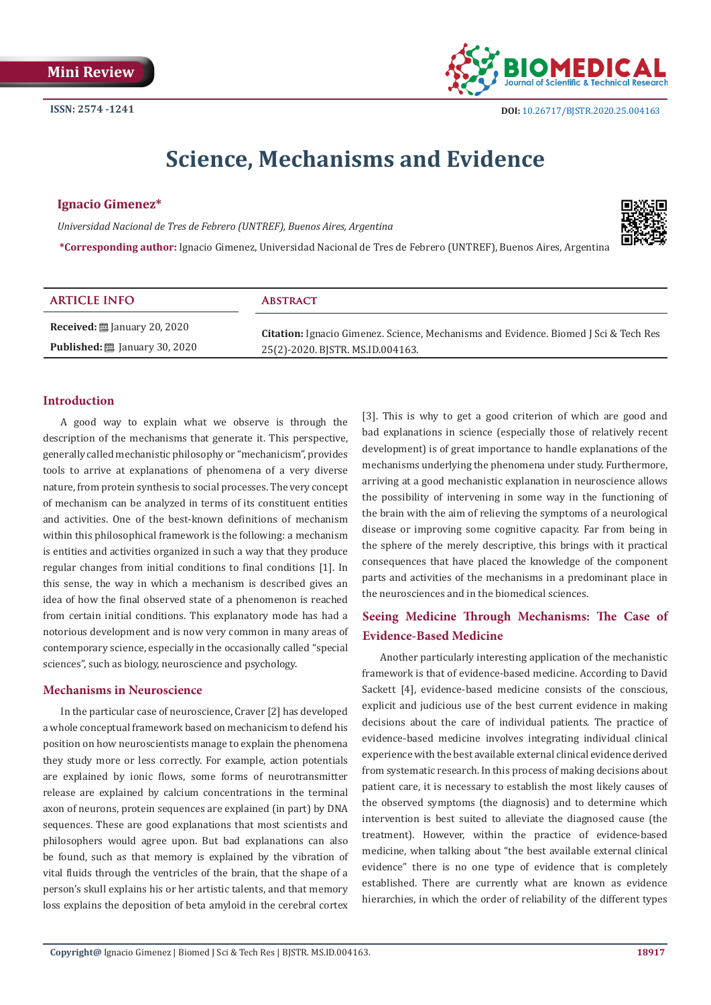

# **Science, Mechanisms and Evidence**

#### **Ignacio Gimenez\***

*Universidad Nacional de Tres de Febrero (UNTREF), Buenos Aires, Argentina*

**\*Corresponding author:** Ignacio Gimenez, Universidad Nacional de Tres de Febrero (UNTREF), Buenos Aires, Argentina



## **Introduction**

A good way to explain what we observe is through the description of the mechanisms that generate it. This perspective, generally called mechanistic philosophy or "mechanicism", provides tools to arrive at explanations of phenomena of a very diverse nature, from protein synthesis to social processes. The very concept of mechanism can be analyzed in terms of its constituent entities and activities. One of the best-known definitions of mechanism within this philosophical framework is the following: a mechanism is entities and activities organized in such a way that they produce regular changes from initial conditions to final conditions [1]. In this sense, the way in which a mechanism is described gives an idea of how the final observed state of a phenomenon is reached from certain initial conditions. This explanatory mode has had a notorious development and is now very common in many areas of contemporary science, especially in the occasionally called "special sciences", such as biology, neuroscience and psychology.

#### **Mechanisms in Neuroscience**

In the particular case of neuroscience, Craver [2] has developed a whole conceptual framework based on mechanicism to defend his position on how neuroscientists manage to explain the phenomena they study more or less correctly. For example, action potentials are explained by ionic flows, some forms of neurotransmitter release are explained by calcium concentrations in the terminal axon of neurons, protein sequences are explained (in part) by DNA sequences. These are good explanations that most scientists and philosophers would agree upon. But bad explanations can also be found, such as that memory is explained by the vibration of vital fluids through the ventricles of the brain, that the shape of a person's skull explains his or her artistic talents, and that memory loss explains the deposition of beta amyloid in the cerebral cortex [3]. This is why to get a good criterion of which are good and bad explanations in science (especially those of relatively recent development) is of great importance to handle explanations of the mechanisms underlying the phenomena under study. Furthermore, arriving at a good mechanistic explanation in neuroscience allows the possibility of intervening in some way in the functioning of the brain with the aim of relieving the symptoms of a neurological disease or improving some cognitive capacity. Far from being in the sphere of the merely descriptive, this brings with it practical consequences that have placed the knowledge of the component parts and activities of the mechanisms in a predominant place in the neurosciences and in the biomedical sciences.

# **Seeing Medicine Through Mechanisms: The Case of Evidence-Based Medicine**

Another particularly interesting application of the mechanistic framework is that of evidence-based medicine. According to David Sackett [4], evidence-based medicine consists of the conscious, explicit and judicious use of the best current evidence in making decisions about the care of individual patients. The practice of evidence-based medicine involves integrating individual clinical experience with the best available external clinical evidence derived from systematic research. In this process of making decisions about patient care, it is necessary to establish the most likely causes of the observed symptoms (the diagnosis) and to determine which intervention is best suited to alleviate the diagnosed cause (the treatment). However, within the practice of evidence-based medicine, when talking about "the best available external clinical evidence" there is no one type of evidence that is completely established. There are currently what are known as evidence hierarchies, in which the order of reliability of the different types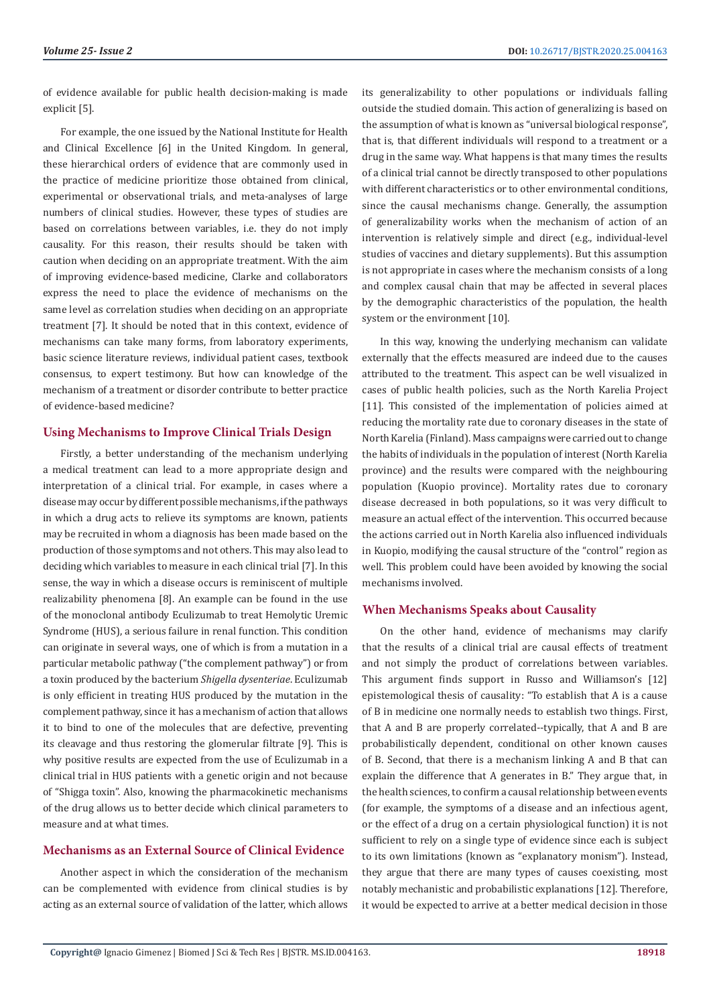of evidence available for public health decision-making is made explicit [5].

For example, the one issued by the National Institute for Health and Clinical Excellence [6] in the United Kingdom. In general, these hierarchical orders of evidence that are commonly used in the practice of medicine prioritize those obtained from clinical, experimental or observational trials, and meta-analyses of large numbers of clinical studies. However, these types of studies are based on correlations between variables, i.e. they do not imply causality. For this reason, their results should be taken with caution when deciding on an appropriate treatment. With the aim of improving evidence-based medicine, Clarke and collaborators express the need to place the evidence of mechanisms on the same level as correlation studies when deciding on an appropriate treatment [7]. It should be noted that in this context, evidence of mechanisms can take many forms, from laboratory experiments, basic science literature reviews, individual patient cases, textbook consensus, to expert testimony. But how can knowledge of the mechanism of a treatment or disorder contribute to better practice of evidence-based medicine?

## **Using Mechanisms to Improve Clinical Trials Design**

Firstly, a better understanding of the mechanism underlying a medical treatment can lead to a more appropriate design and interpretation of a clinical trial. For example, in cases where a disease may occur by different possible mechanisms, if the pathways in which a drug acts to relieve its symptoms are known, patients may be recruited in whom a diagnosis has been made based on the production of those symptoms and not others. This may also lead to deciding which variables to measure in each clinical trial [7]. In this sense, the way in which a disease occurs is reminiscent of multiple realizability phenomena [8]. An example can be found in the use of the monoclonal antibody Eculizumab to treat Hemolytic Uremic Syndrome (HUS), a serious failure in renal function. This condition can originate in several ways, one of which is from a mutation in a particular metabolic pathway ("the complement pathway") or from a toxin produced by the bacterium *Shigella dysenteriae*. Eculizumab is only efficient in treating HUS produced by the mutation in the complement pathway, since it has a mechanism of action that allows it to bind to one of the molecules that are defective, preventing its cleavage and thus restoring the glomerular filtrate [9]. This is why positive results are expected from the use of Eculizumab in a clinical trial in HUS patients with a genetic origin and not because of "Shigga toxin". Also, knowing the pharmacokinetic mechanisms of the drug allows us to better decide which clinical parameters to measure and at what times.

## **Mechanisms as an External Source of Clinical Evidence**

Another aspect in which the consideration of the mechanism can be complemented with evidence from clinical studies is by acting as an external source of validation of the latter, which allows

its generalizability to other populations or individuals falling outside the studied domain. This action of generalizing is based on the assumption of what is known as "universal biological response", that is, that different individuals will respond to a treatment or a drug in the same way. What happens is that many times the results of a clinical trial cannot be directly transposed to other populations with different characteristics or to other environmental conditions, since the causal mechanisms change. Generally, the assumption of generalizability works when the mechanism of action of an intervention is relatively simple and direct (e.g., individual-level studies of vaccines and dietary supplements). But this assumption is not appropriate in cases where the mechanism consists of a long and complex causal chain that may be affected in several places by the demographic characteristics of the population, the health system or the environment [10].

In this way, knowing the underlying mechanism can validate externally that the effects measured are indeed due to the causes attributed to the treatment. This aspect can be well visualized in cases of public health policies, such as the North Karelia Project [11]. This consisted of the implementation of policies aimed at reducing the mortality rate due to coronary diseases in the state of North Karelia (Finland). Mass campaigns were carried out to change the habits of individuals in the population of interest (North Karelia province) and the results were compared with the neighbouring population (Kuopio province). Mortality rates due to coronary disease decreased in both populations, so it was very difficult to measure an actual effect of the intervention. This occurred because the actions carried out in North Karelia also influenced individuals in Kuopio, modifying the causal structure of the "control" region as well. This problem could have been avoided by knowing the social mechanisms involved.

#### **When Mechanisms Speaks about Causality**

On the other hand, evidence of mechanisms may clarify that the results of a clinical trial are causal effects of treatment and not simply the product of correlations between variables. This argument finds support in Russo and Williamson's [12] epistemological thesis of causality: "To establish that A is a cause of B in medicine one normally needs to establish two things. First, that A and B are properly correlated--typically, that A and B are probabilistically dependent, conditional on other known causes of B. Second, that there is a mechanism linking A and B that can explain the difference that A generates in B." They argue that, in the health sciences, to confirm a causal relationship between events (for example, the symptoms of a disease and an infectious agent, or the effect of a drug on a certain physiological function) it is not sufficient to rely on a single type of evidence since each is subject to its own limitations (known as "explanatory monism"). Instead, they argue that there are many types of causes coexisting, most notably mechanistic and probabilistic explanations [12]. Therefore, it would be expected to arrive at a better medical decision in those